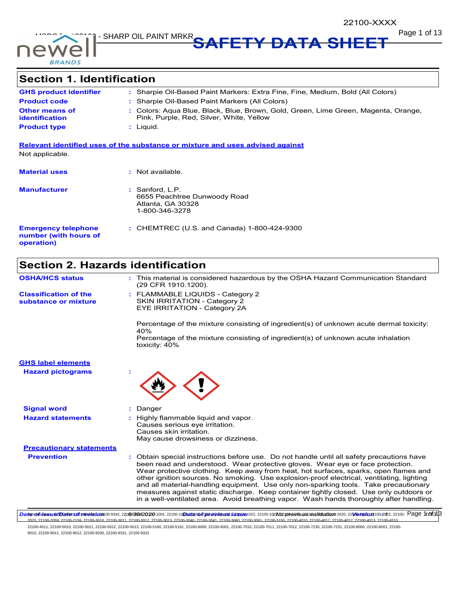

**Page 1 of 13** DIANS SHARP OIL PAINT MRKR<br> **SAFETY DATA SHEET** 

# **Section 1. Identification**

| <b>GHS product identifier</b>                  | : Sharpie Oil-Based Paint Markers: Extra Fine, Fine, Medium, Bold (All Colors)                                                 |
|------------------------------------------------|--------------------------------------------------------------------------------------------------------------------------------|
| <b>Product code</b>                            | : Sharpie Oil-Based Paint Markers (All Colors)                                                                                 |
| <b>Other means of</b><br><b>identification</b> | : Colors: Aqua Blue, Black, Blue, Brown, Gold, Green, Lime Green, Magenta, Orange,<br>Pink, Purple, Red, Silver, White, Yellow |
| <b>Product type</b>                            | : Liauid.                                                                                                                      |

**Relevant identified uses of the substance or mixture and uses advised against** Not applicable.

| <b>Material uses</b>                                              | : Not available.                                                                         |
|-------------------------------------------------------------------|------------------------------------------------------------------------------------------|
| <b>Manufacturer</b>                                               | $:$ Sanford, L.P.<br>6655 Peachtree Dunwoody Road<br>Atlanta, GA 30328<br>1-800-346-3278 |
| <b>Emergency telephone</b><br>number (with hours of<br>operation) | : CHEMTREC (U.S. and Canada) $1-800-424-9300$                                            |

# **Section 2. Hazards identification**

| <b>OSHA/HCS status</b>                               |    | : This material is considered hazardous by the OSHA Hazard Communication Standard<br>(29 CFR 1910.1200).                                                                                                                                                                                                                                                                                                                                                                                                                                                                                                                                      |
|------------------------------------------------------|----|-----------------------------------------------------------------------------------------------------------------------------------------------------------------------------------------------------------------------------------------------------------------------------------------------------------------------------------------------------------------------------------------------------------------------------------------------------------------------------------------------------------------------------------------------------------------------------------------------------------------------------------------------|
| <b>Classification of the</b><br>substance or mixture |    | : FLAMMABLE LIQUIDS - Category 2<br><b>SKIN IRRITATION - Category 2</b><br>EYE IRRITATION - Category 2A                                                                                                                                                                                                                                                                                                                                                                                                                                                                                                                                       |
|                                                      |    | Percentage of the mixture consisting of ingredient(s) of unknown acute dermal toxicity:                                                                                                                                                                                                                                                                                                                                                                                                                                                                                                                                                       |
|                                                      |    | 40%<br>Percentage of the mixture consisting of ingredient(s) of unknown acute inhalation<br>toxicity: 40%                                                                                                                                                                                                                                                                                                                                                                                                                                                                                                                                     |
| <b>GHS label elements</b>                            |    |                                                                                                                                                                                                                                                                                                                                                                                                                                                                                                                                                                                                                                               |
| <b>Hazard pictograms</b>                             |    |                                                                                                                                                                                                                                                                                                                                                                                                                                                                                                                                                                                                                                               |
| <b>Signal word</b>                                   | ÷. | Danger                                                                                                                                                                                                                                                                                                                                                                                                                                                                                                                                                                                                                                        |
| <b>Hazard statements</b>                             |    | Highly flammable liquid and vapor.<br>Causes serious eye irritation.<br>Causes skin irritation.<br>May cause drowsiness or dizziness.                                                                                                                                                                                                                                                                                                                                                                                                                                                                                                         |
| <b>Precautionary statements</b>                      |    |                                                                                                                                                                                                                                                                                                                                                                                                                                                                                                                                                                                                                                               |
| <b>Prevention</b>                                    |    | : Obtain special instructions before use. Do not handle until all safety precautions have<br>been read and understood. Wear protective gloves. Wear eye or face protection.<br>Wear protective clothing. Keep away from heat, hot surfaces, sparks, open flames and<br>other ignition sources. No smoking. Use explosion-proof electrical, ventilating, lighting<br>and all material-handling equipment. Use only non-sparking tools. Take precautionary<br>measures against static discharge. Keep container tightly closed. Use only outdoors or<br>in a well-ventilated area. Avoid breathing vapor. Wash hands thoroughly after handling. |

DaterolidssuerDateiod2revelsfon00-9342,2216/0042020-1001,22100-10Dateioofgoraviousxissue1022,22100-102Nox previous walidation-2020,2210ers/orx100-202,22100- Page 1/0f3|3 .<br>2023, 22100-2011, 22100-3012, 22100-3013, 22100-3040, 22100-3041, 22100-3060, 22100-3061, 22100-4010, 22100-4010, 22100-4011, 22100-4012, 22100-4013, 22100-4013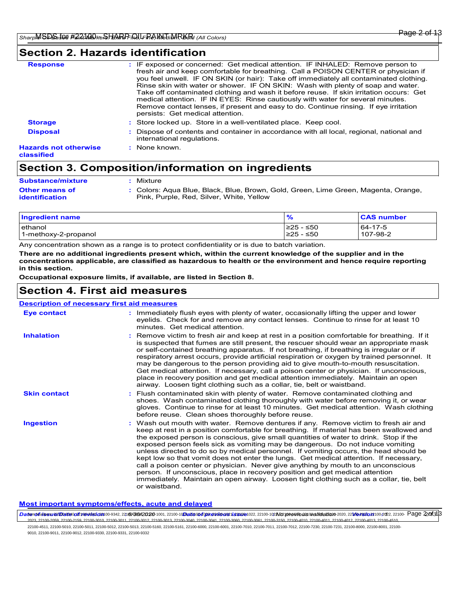### **Section 2. Hazards identification**

|                                            | Rinse skin with water or shower. IF ON SKIN: Wash with plenty of soap and water.<br>Take off contaminated clothing and wash it before reuse. If skin irritation occurs: Get<br>medical attention. IF IN EYES: Rinse cautiously with water for several minutes. |
|--------------------------------------------|----------------------------------------------------------------------------------------------------------------------------------------------------------------------------------------------------------------------------------------------------------------|
|                                            | Remove contact lenses, if present and easy to do. Continue rinsing. If eye irritation<br>persists: Get medical attention.                                                                                                                                      |
| <b>Storage</b>                             | : Store locked up. Store in a well-ventilated place. Keep cool.                                                                                                                                                                                                |
| <b>Disposal</b>                            | Dispose of contents and container in accordance with all local, regional, national and<br>international regulations.                                                                                                                                           |
| <b>Hazards not otherwise</b><br>classified | : None known.                                                                                                                                                                                                                                                  |

# **Section 3. Composition/information on ingredients**

| <b>Substance/mixture</b> | Mixture                                                                            |
|--------------------------|------------------------------------------------------------------------------------|
| <b>Other means of</b>    | : Colors: Aqua Blue, Black, Blue, Brown, Gold, Green, Lime Green, Magenta, Orange, |
| identification           | Pink, Purple, Red, Silver, White, Yellow                                           |

| <b>Ingredient name</b> | $\frac{1}{2}$ | <b>CAS number</b> |
|------------------------|---------------|-------------------|
| lethanol               | 225 - ≤50     | 64-17-5           |
| 1-methoxy-2-propanol   | l≥25 - ≤50    | 107-98-2          |

Any concentration shown as a range is to protect confidentiality or is due to batch variation.

**There are no additional ingredients present which, within the current knowledge of the supplier and in the concentrations applicable, are classified as hazardous to health or the environment and hence require reporting in this section.**

**Occupational exposure limits, if available, are listed in Section 8.**

### **Section 4. First aid measures**

Wash out mouth with water. Remove dentures if any. Remove victim to fresh air and keep at rest in a position comfortable for breathing. If material has been swallowed and the exposed person is conscious, give small quantities of water to drink. Stop if the exposed person feels sick as vomiting may be dangerous. Do not induce vomiting unless directed to do so by medical personnel. If vomiting occurs, the head should be kept low so that vomit does not enter the lungs. Get medical attention. If necessary, call a poison center or physician. Never give anything by mouth to an unconscious person. If unconscious, place in recovery position and get medical attention immediately. Maintain an open airway. Loosen tight clothing such as a collar, tie, belt or waistband. **:** Immediately flush eyes with plenty of water, occasionally lifting the upper and lower eyelids. Check for and remove any contact lenses. Continue to rinse for at least 10 minutes. Get medical attention. Flush contaminated skin with plenty of water. Remove contaminated clothing and **:** shoes. Wash contaminated clothing thoroughly with water before removing it, or wear gloves. Continue to rinse for at least 10 minutes. Get medical attention. Wash clothing before reuse. Clean shoes thoroughly before reuse. Remove victim to fresh air and keep at rest in a position comfortable for breathing. If it **:** is suspected that fumes are still present, the rescuer should wear an appropriate mask or self-contained breathing apparatus. If not breathing, if breathing is irregular or if respiratory arrest occurs, provide artificial respiration or oxygen by trained personnel. It may be dangerous to the person providing aid to give mouth-to-mouth resuscitation. Get medical attention. If necessary, call a poison center or physician. If unconscious, place in recovery position and get medical attention immediately. Maintain an open airway. Loosen tight clothing such as a collar, tie, belt or waistband. **Eye contact Skin contact Inhalation Ingestion : Description of necessary first aid measures**

### **Most important symptoms/effects, acute and delayed**

DaterolidssuerDateiod2revelsfon00-9342,2216/0092020-1011, 22100-10Dateiofonavionsussue1022, 22100-102No previoaswalidation-2020, 22Morsoro2021, 22100- Page 20f3|3 2023, 22100-2059, 22100-2159, 22100-3010, 22100-3011, 22100-3012, 22100-3013, 22100-3040, 22100-3041, 22100-3060, 22100-3061, 22100-3150, 22100-4010, 22100-4011, 22100-4012, 22100-4013, 22100-4510,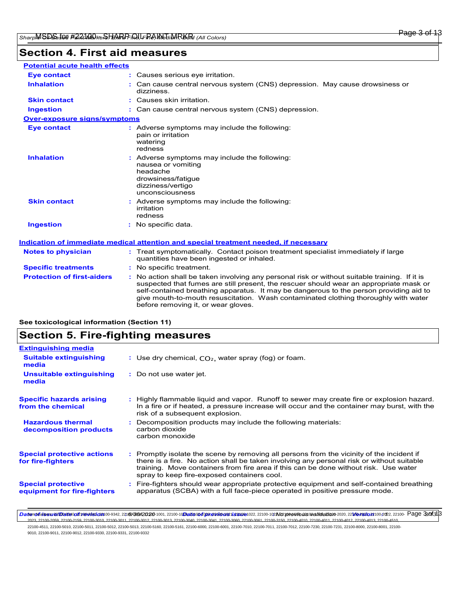# **Section 4. First aid measures**

| <b>Potential acute health effects</b> |                                                                                                                                                                                                                                                                                                                                                                                                                 |
|---------------------------------------|-----------------------------------------------------------------------------------------------------------------------------------------------------------------------------------------------------------------------------------------------------------------------------------------------------------------------------------------------------------------------------------------------------------------|
| <b>Eve contact</b>                    | : Causes serious eye irritation.                                                                                                                                                                                                                                                                                                                                                                                |
| <b>Inhalation</b>                     | : Can cause central nervous system (CNS) depression. May cause drowsiness or<br>dizziness.                                                                                                                                                                                                                                                                                                                      |
| <b>Skin contact</b>                   | : Causes skin irritation.                                                                                                                                                                                                                                                                                                                                                                                       |
| <b>Ingestion</b>                      | : Can cause central nervous system (CNS) depression.                                                                                                                                                                                                                                                                                                                                                            |
| <b>Over-exposure signs/symptoms</b>   |                                                                                                                                                                                                                                                                                                                                                                                                                 |
| <b>Eye contact</b>                    | : Adverse symptoms may include the following:<br>pain or irritation<br>watering<br>redness                                                                                                                                                                                                                                                                                                                      |
| <b>Inhalation</b>                     | : Adverse symptoms may include the following:<br>nausea or vomiting<br>headache<br>drowsiness/fatique<br>dizziness/vertigo<br>unconsciousness                                                                                                                                                                                                                                                                   |
| <b>Skin contact</b>                   | : Adverse symptoms may include the following:<br>irritation<br>redness                                                                                                                                                                                                                                                                                                                                          |
| <b>Ingestion</b>                      | : No specific data.                                                                                                                                                                                                                                                                                                                                                                                             |
|                                       | <u>Indication of immediate medical attention and special treatment needed, if necessary</u>                                                                                                                                                                                                                                                                                                                     |
| <b>Notes to physician</b>             | : Treat symptomatically. Contact poison treatment specialist immediately if large<br>quantities have been ingested or inhaled.                                                                                                                                                                                                                                                                                  |
| <b>Specific treatments</b>            | : No specific treatment.                                                                                                                                                                                                                                                                                                                                                                                        |
| <b>Protection of first-aiders</b>     | : No action shall be taken involving any personal risk or without suitable training. If it is<br>suspected that fumes are still present, the rescuer should wear an appropriate mask or<br>self-contained breathing apparatus. It may be dangerous to the person providing aid to<br>give mouth-to-mouth resuscitation. Wash contaminated clothing thoroughly with water<br>before removing it, or wear gloves. |

### **See toxicological information (Section 11)**

# **Section 5. Fire-fighting measures**

| <b>Extinguishing media</b>                               |                                                                                                                                                                                                                                                                                                                               |
|----------------------------------------------------------|-------------------------------------------------------------------------------------------------------------------------------------------------------------------------------------------------------------------------------------------------------------------------------------------------------------------------------|
| <b>Suitable extinguishing</b><br>media                   | : Use dry chemical, $CO2$ , water spray (fog) or foam.                                                                                                                                                                                                                                                                        |
| Unsuitable extinguishing<br>media                        | : Do not use water jet.                                                                                                                                                                                                                                                                                                       |
| <b>Specific hazards arising</b><br>from the chemical     | : Highly flammable liquid and vapor. Runoff to sewer may create fire or explosion hazard.<br>In a fire or if heated, a pressure increase will occur and the container may burst, with the<br>risk of a subsequent explosion.                                                                                                  |
| <b>Hazardous thermal</b><br>decomposition products       | : Decomposition products may include the following materials:<br>carbon dioxide<br>carbon monoxide                                                                                                                                                                                                                            |
| <b>Special protective actions</b><br>for fire-fighters   | : Promptly isolate the scene by removing all persons from the vicinity of the incident if<br>there is a fire. No action shall be taken involving any personal risk or without suitable<br>training. Move containers from fire area if this can be done without risk. Use water<br>spray to keep fire-exposed containers cool. |
| <b>Special protective</b><br>equipment for fire-fighters | : Fire-fighters should wear appropriate protective equipment and self-contained breathing<br>apparatus (SCBA) with a full face-piece operated in positive pressure mode.                                                                                                                                                      |

DaterolidssuerDateiod2revelsfon00-9342,2216/0092020-1011, 22100-10Dateioofgorevious: ussue1022, 22100-102No previous walidation-2020, 2210ersion100-202, 22100- Page 300f3|3 2023, 22100-2059, 22100-2159, 22100-3010, 22100-3011, 22100-3012, 22100-3013, 22100-3040, 22100-3041, 22100-3060, 22100-3061, 22100-3150, 22100-4010, 22100-4011, 22100-4012, 22100-4013, 22100-4510,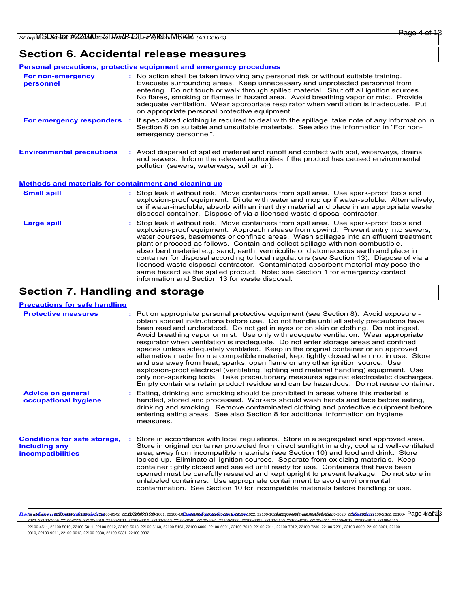|                                                              | <b>Personal precautions, protective equipment and emergency procedures</b>                                                                                                                                                                                                                                                                                                                                                                                                                                                                                                                                                                                                                                         |
|--------------------------------------------------------------|--------------------------------------------------------------------------------------------------------------------------------------------------------------------------------------------------------------------------------------------------------------------------------------------------------------------------------------------------------------------------------------------------------------------------------------------------------------------------------------------------------------------------------------------------------------------------------------------------------------------------------------------------------------------------------------------------------------------|
| For non-emergency<br>personnel                               | : No action shall be taken involving any personal risk or without suitable training.<br>Evacuate surrounding areas. Keep unnecessary and unprotected personnel from<br>entering. Do not touch or walk through spilled material. Shut off all ignition sources.<br>No flares, smoking or flames in hazard area. Avoid breathing vapor or mist. Provide<br>adequate ventilation. Wear appropriate respirator when ventilation is inadequate. Put<br>on appropriate personal protective equipment.                                                                                                                                                                                                                    |
| For emergency responders                                     | : If specialized clothing is required to deal with the spillage, take note of any information in<br>Section 8 on suitable and unsuitable materials. See also the information in "For non-<br>emergency personnel".                                                                                                                                                                                                                                                                                                                                                                                                                                                                                                 |
| <b>Environmental precautions</b>                             | : Avoid dispersal of spilled material and runoff and contact with soil, waterways, drains<br>and sewers. Inform the relevant authorities if the product has caused environmental<br>pollution (sewers, waterways, soil or air).                                                                                                                                                                                                                                                                                                                                                                                                                                                                                    |
| <b>Methods and materials for containment and cleaning up</b> |                                                                                                                                                                                                                                                                                                                                                                                                                                                                                                                                                                                                                                                                                                                    |
| <b>Small spill</b>                                           | : Stop leak if without risk. Move containers from spill area. Use spark-proof tools and<br>explosion-proof equipment. Dilute with water and mop up if water-soluble. Alternatively,<br>or if water-insoluble, absorb with an inert dry material and place in an appropriate waste<br>disposal container. Dispose of via a licensed waste disposal contractor.                                                                                                                                                                                                                                                                                                                                                      |
| <b>Large spill</b>                                           | : Stop leak if without risk. Move containers from spill area. Use spark-proof tools and<br>explosion-proof equipment. Approach release from upwind. Prevent entry into sewers,<br>water courses, basements or confined areas. Wash spillages into an effluent treatment<br>plant or proceed as follows. Contain and collect spillage with non-combustible,<br>absorbent material e.g. sand, earth, vermiculite or diatomaceous earth and place in<br>container for disposal according to local regulations (see Section 13). Dispose of via a<br>licensed waste disposal contractor. Contaminated absorbent material may pose the<br>same hazard as the spilled product. Note: see Section 1 for emergency contact |

information and Section 13 for waste disposal.

# **Section 7. Handling and storage**

| <b>Precautions for safe handling</b>                                             |                                                                                                                                                                                                                                                                                                                                                                                                                                                                                                                                                                                                                                                                                                                                                                                                                                                                                                                                                                                                    |
|----------------------------------------------------------------------------------|----------------------------------------------------------------------------------------------------------------------------------------------------------------------------------------------------------------------------------------------------------------------------------------------------------------------------------------------------------------------------------------------------------------------------------------------------------------------------------------------------------------------------------------------------------------------------------------------------------------------------------------------------------------------------------------------------------------------------------------------------------------------------------------------------------------------------------------------------------------------------------------------------------------------------------------------------------------------------------------------------|
| <b>Protective measures</b>                                                       | : Put on appropriate personal protective equipment (see Section 8). Avoid exposure -<br>obtain special instructions before use. Do not handle until all safety precautions have<br>been read and understood. Do not get in eyes or on skin or clothing. Do not ingest.<br>Avoid breathing vapor or mist. Use only with adequate ventilation. Wear appropriate<br>respirator when ventilation is inadequate. Do not enter storage areas and confined<br>spaces unless adequately ventilated. Keep in the original container or an approved<br>alternative made from a compatible material, kept tightly closed when not in use. Store<br>and use away from heat, sparks, open flame or any other ignition source. Use<br>explosion-proof electrical (ventilating, lighting and material handling) equipment. Use<br>only non-sparking tools. Take precautionary measures against electrostatic discharges.<br>Empty containers retain product residue and can be hazardous. Do not reuse container. |
| <b>Advice on general</b><br>occupational hygiene                                 | Eating, drinking and smoking should be prohibited in areas where this material is<br>handled, stored and processed. Workers should wash hands and face before eating,<br>drinking and smoking. Remove contaminated clothing and protective equipment before<br>entering eating areas. See also Section 8 for additional information on hygiene<br>measures.                                                                                                                                                                                                                                                                                                                                                                                                                                                                                                                                                                                                                                        |
| <b>Conditions for safe storage,</b><br>including any<br><b>incompatibilities</b> | Store in accordance with local regulations. Store in a segregated and approved area.<br>Store in original container protected from direct sunlight in a dry, cool and well-ventilated<br>area, away from incompatible materials (see Section 10) and food and drink. Store<br>locked up. Eliminate all ignition sources. Separate from oxidizing materials. Keep<br>container tightly closed and sealed until ready for use. Containers that have been<br>opened must be carefully resealed and kept upright to prevent leakage. Do not store in<br>unlabeled containers. Use appropriate containment to avoid environmental<br>contamination. See Section 10 for incompatible materials before handling or use.                                                                                                                                                                                                                                                                                   |

DaterolidssuerDateiod2revelsfon00-9342,2216/0092020-1011, 22100-10Dateioofgerevicousussue1022, 22100-102Noc previous walidation-2020, 2210ersfon100-202, 22100- Page 401313 2023, 22100-2059, 22100-2159, 22100-3010, 22100-3011, 22100-3012, 22100-3013, 22100-3040, 22100-3041, 22100-3060, 22100-3061, 22100-3150, 22100-4010, 22100-4011, 22100-4012, 22100-4013, 22100-4510,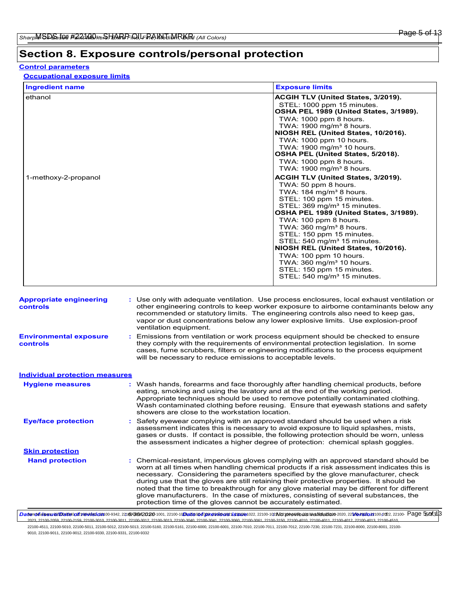# **Section 8. Exposure controls/personal protection**

### **Control parameters**

**Occupational exposure limits**

| <b>Ingredient name</b> | <b>Exposure limits</b>                    |
|------------------------|-------------------------------------------|
| ethanol                | <b>ACGIH TLV (United States, 3/2019).</b> |
|                        | STEL: 1000 ppm 15 minutes.                |
|                        | OSHA PEL 1989 (United States, 3/1989).    |
|                        | TWA: 1000 ppm 8 hours.                    |
|                        | TWA: $1900 \text{ mg/m}^3$ 8 hours.       |
|                        | NIOSH REL (United States, 10/2016).       |
|                        | TWA: 1000 ppm 10 hours.                   |
|                        | TWA: 1900 mg/m <sup>3</sup> 10 hours.     |
|                        | OSHA PEL (United States, 5/2018).         |
|                        | TWA: 1000 ppm 8 hours.                    |
|                        | TWA: $1900 \text{ mg/m}^3$ 8 hours.       |
| 1-methoxy-2-propanol   | ACGIH TLV (United States, 3/2019).        |
|                        | TWA: 50 ppm 8 hours.                      |
|                        | TWA: $184 \text{ mg/m}^3$ 8 hours.        |
|                        | STEL: 100 ppm 15 minutes.                 |
|                        | STEL: 369 mg/m <sup>3</sup> 15 minutes.   |
|                        | OSHA PEL 1989 (United States, 3/1989).    |
|                        | TWA: 100 ppm 8 hours.                     |
|                        | TWA: $360 \text{ mg/m}^3$ 8 hours.        |
|                        | STEL: 150 ppm 15 minutes.                 |
|                        | STEL: 540 mg/m <sup>3</sup> 15 minutes.   |
|                        | NIOSH REL (United States, 10/2016).       |
|                        | TWA: 100 ppm 10 hours.                    |
|                        | TWA: 360 mg/m <sup>3</sup> 10 hours.      |
|                        | STEL: 150 ppm 15 minutes.                 |
|                        | STEL: 540 mg/m <sup>3</sup> 15 minutes.   |

| <b>Appropriate engineering</b><br>controls | : Use only with adequate ventilation. Use process enclosures, local exhaust ventilation or<br>other engineering controls to keep worker exposure to airborne contaminants below any<br>recommended or statutory limits. The engineering controls also need to keep gas,<br>vapor or dust concentrations below any lower explosive limits. Use explosion-proof<br>ventilation equipment.                                                                                                                                                                                                                                |
|--------------------------------------------|------------------------------------------------------------------------------------------------------------------------------------------------------------------------------------------------------------------------------------------------------------------------------------------------------------------------------------------------------------------------------------------------------------------------------------------------------------------------------------------------------------------------------------------------------------------------------------------------------------------------|
| <b>Environmental exposure</b><br>controls  | Emissions from ventilation or work process equipment should be checked to ensure<br>٠.<br>they comply with the requirements of environmental protection legislation. In some<br>cases, fume scrubbers, filters or engineering modifications to the process equipment<br>will be necessary to reduce emissions to acceptable levels.                                                                                                                                                                                                                                                                                    |
| <b>Individual protection measures</b>      |                                                                                                                                                                                                                                                                                                                                                                                                                                                                                                                                                                                                                        |
| <b>Hygiene measures</b>                    | : Wash hands, forearms and face thoroughly after handling chemical products, before<br>eating, smoking and using the lavatory and at the end of the working period.<br>Appropriate techniques should be used to remove potentially contaminated clothing.<br>Wash contaminated clothing before reusing. Ensure that eyewash stations and safety<br>showers are close to the workstation location.                                                                                                                                                                                                                      |
| <b>Eye/face protection</b>                 | : Safety eyewear complying with an approved standard should be used when a risk<br>assessment indicates this is necessary to avoid exposure to liquid splashes, mists,<br>gases or dusts. If contact is possible, the following protection should be worn, unless<br>the assessment indicates a higher degree of protection: chemical splash goggles.                                                                                                                                                                                                                                                                  |
| <b>Skin protection</b>                     |                                                                                                                                                                                                                                                                                                                                                                                                                                                                                                                                                                                                                        |
| <b>Hand protection</b>                     | : Chemical-resistant, impervious gloves complying with an approved standard should be<br>worn at all times when handling chemical products if a risk assessment indicates this is<br>necessary. Considering the parameters specified by the glove manufacturer, check<br>during use that the gloves are still retaining their protective properties. It should be<br>noted that the time to breakthrough for any glove material may be different for different<br>glove manufacturers. In the case of mixtures, consisting of several substances, the<br>protection time of the gloves cannot be accurately estimated. |

DaterolidssuerDateiod2revelsfon00-9342,2216/0092020-1011, 22100-10Dateioofgorevious: ussue1022, 22100-102No previous walidation-2020, 2210ersfon100-202, 22100- Page 550f3|3 2023, 22100-2059, 22100-2159, 22100-3010, 22100-3011, 22100-3012, 22100-3013, 22100-3040, 22100-3041, 22100-3060, 22100-3061, 22100-3150, 22100-4010, 22100-4011, 22100-4012, 22100-4013, 22100-4510,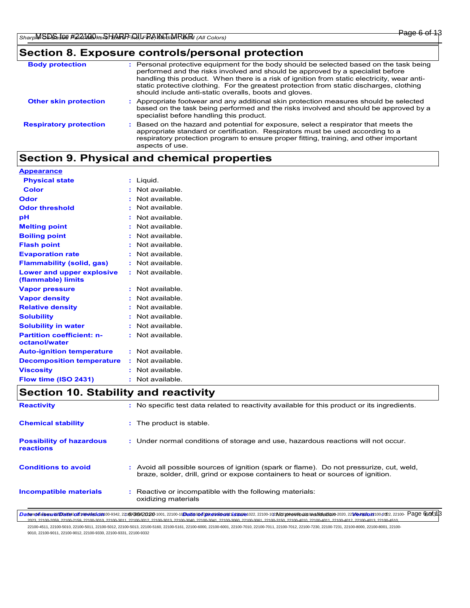# **Section 8. Exposure controls/personal protection**

| <b>Body protection</b>        | : Personal protective equipment for the body should be selected based on the task being<br>performed and the risks involved and should be approved by a specialist before<br>handling this product. When there is a risk of ignition from static electricity, wear anti-<br>static protective clothing. For the greatest protection from static discharges, clothing<br>should include anti-static overalls, boots and gloves. |
|-------------------------------|--------------------------------------------------------------------------------------------------------------------------------------------------------------------------------------------------------------------------------------------------------------------------------------------------------------------------------------------------------------------------------------------------------------------------------|
| <b>Other skin protection</b>  | : Appropriate footwear and any additional skin protection measures should be selected<br>based on the task being performed and the risks involved and should be approved by a<br>specialist before handling this product.                                                                                                                                                                                                      |
| <b>Respiratory protection</b> | : Based on the hazard and potential for exposure, select a respirator that meets the<br>appropriate standard or certification. Respirators must be used according to a<br>respiratory protection program to ensure proper fitting, training, and other important<br>aspects of use.                                                                                                                                            |

# **Section 9. Physical and chemical properties**

| <b>Appearance</b>                                 |                  |
|---------------------------------------------------|------------------|
| <b>Physical state</b>                             | : Liquid.        |
| <b>Color</b>                                      | : Not available. |
| <b>Odor</b>                                       | : Not available. |
| <b>Odor threshold</b>                             | : Not available. |
| pH                                                | : Not available. |
| <b>Melting point</b>                              | : Not available. |
| <b>Boiling point</b>                              | : Not available. |
| <b>Flash point</b>                                | : Not available. |
| <b>Evaporation rate</b>                           | : Not available. |
| <b>Flammability (solid, gas)</b>                  | : Not available. |
| Lower and upper explosive<br>(flammable) limits   | : Not available. |
| <b>Vapor pressure</b>                             | : Not available. |
| <b>Vapor density</b>                              | : Not available. |
| <b>Relative density</b>                           | : Not available. |
| <b>Solubility</b>                                 | : Not available. |
| <b>Solubility in water</b>                        | : Not available. |
| <b>Partition coefficient: n-</b><br>octanol/water | : Not available. |
| <b>Auto-ignition temperature</b>                  | : Not available. |
| <b>Decomposition temperature</b>                  | : Not available. |
| <b>Viscosity</b>                                  | : Not available. |
| Flow time (ISO 2431)                              | : Not available. |
| Coofian 40 Ctability and readividual              |                  |

### **Section 10. Stability and reactivity**

| <b>Reactivity</b>                            | : No specific test data related to reactivity available for this product or its ingredients.                                                                                                                                                                                                                                                                                                                  |
|----------------------------------------------|---------------------------------------------------------------------------------------------------------------------------------------------------------------------------------------------------------------------------------------------------------------------------------------------------------------------------------------------------------------------------------------------------------------|
| <b>Chemical stability</b>                    | : The product is stable.                                                                                                                                                                                                                                                                                                                                                                                      |
| <b>Possibility of hazardous</b><br>reactions | : Under normal conditions of storage and use, hazardous reactions will not occur.                                                                                                                                                                                                                                                                                                                             |
| <b>Conditions to avoid</b>                   | : Avoid all possible sources of ignition (spark or flame). Do not pressurize, cut, weld,<br>braze, solder, drill, grind or expose containers to heat or sources of ignition.                                                                                                                                                                                                                                  |
| <b>Incompatible materials</b>                | : Reactive or incompatible with the following materials:<br>oxidizing materials                                                                                                                                                                                                                                                                                                                               |
|                                              | Datendfussare/Datend21@ebsfc2n00-9342, 22160/08420280-1001, 22100-10Datendforcevious ussue1022, 22100-102No previous walidation-2020, 22Veesio2100-2d2, 22100- Page 6cof3 3<br>OOD END CARD ONDE CARD OORDE AND OORDE ONDERGOOD DATE OORDE ONDER DOADE ONDER OORDE ONDER OORDER AGAINE ONDER ACADEMICATION ON A SALE ONDER AND A SALE ON A SALE ON A SALE ON A SALE ON A SALE ON A SALE ON A SALE ON A SALE O |

2023, 22100-2059, 22100-2159, 22100-3010, 22100-3011, 22100-3012, 22100-3013, 22100-3040, 22100-3041, 22100-3060, 22100-3061, 22100-3150, 22100-4010, 22100-4011, 22100-4012, 22100-4013, 22100-4510,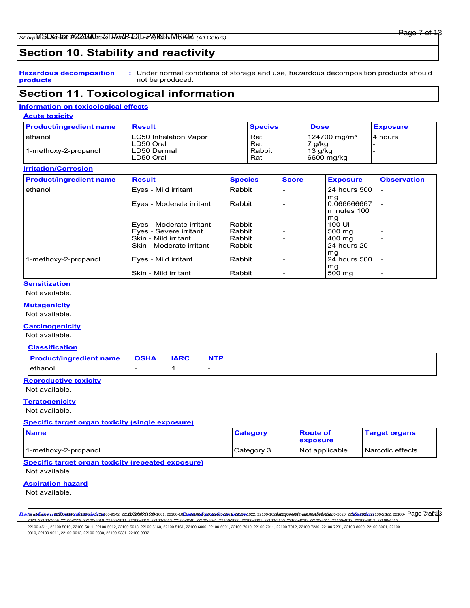# **Section 10. Stability and reactivity**

**Hazardous decomposition products** Under normal conditions of storage and use, hazardous decomposition products should **:** not be produced.

# **Section 11. Toxicological information**

### **Information on toxicological effects**

| <b>Acute toxicity</b>          |                       |                |                            |                 |  |
|--------------------------------|-----------------------|----------------|----------------------------|-----------------|--|
| <b>Product/ingredient name</b> | <b>Result</b>         | <b>Species</b> | <b>Dose</b>                | <b>Exposure</b> |  |
| lethanol                       | LC50 Inhalation Vapor | Rat            | $124700$ mg/m <sup>3</sup> | 4 hours         |  |
|                                | ILD50 Oral            | Rat            | 7 g/kg                     |                 |  |
| 1-methoxy-2-propanol           | ILD50 Dermal          | Rabbit         | 13 q/kg                    |                 |  |
|                                | LD50 Oral             | Rat            | $6600$ mg/kg               |                 |  |

### **Irritation/Corrosion**

| <b>Product/ingredient name</b> | <b>Result</b>                                  | <b>Species</b>   | <b>Score</b> | <b>Exposure</b>                  | <b>Observation</b>       |
|--------------------------------|------------------------------------------------|------------------|--------------|----------------------------------|--------------------------|
| ethanol                        | Eyes - Mild irritant                           | Rabbit           |              | 24 hours 500                     |                          |
|                                | Eyes - Moderate irritant                       | Rabbit           |              | mg<br>0.066666667<br>minutes 100 | $\overline{\phantom{0}}$ |
|                                | Eyes - Moderate irritant                       | Rabbit           |              | mg<br>100 UI                     |                          |
|                                | Eyes - Severe irritant<br>Skin - Mild irritant | Rabbit<br>Rabbit |              | 500 mg<br>400 mg                 |                          |
|                                | Skin - Moderate irritant                       | Rabbit           |              | 24 hours 20                      |                          |
| 1-methoxy-2-propanol           | Eyes - Mild irritant                           | Rabbit           |              | mg<br>24 hours 500               |                          |
|                                | Skin - Mild irritant                           | Rabbit           |              | mg<br>500 mg                     | $\overline{\phantom{0}}$ |

### **Sensitization**

Not available.

### **Mutagenicity**

Not available.

### **Carcinogenicity**

Not available.

#### **Classification**

| <b>Product/ingredient name</b> | <b>OSHA</b> | <b>IARC</b> | <b>NTP</b> |
|--------------------------------|-------------|-------------|------------|
| ethanol                        |             |             |            |

### **Reproductive toxicity**

Not available.

### **Teratogenicity**

Not available.

#### **Specific target organ toxicity (single exposure)**

| <b>Name</b>          | <b>Category</b> | <b>Route of</b><br>exposure | <b>Target organs</b> |
|----------------------|-----------------|-----------------------------|----------------------|
| 1-methoxy-2-propanol | Category 3      | Not applicable.             | Narcotic effects     |

### **Specific target organ toxicity (repeated exposure)**

Not available.

### **Aspiration hazard**

Not available.

DaterolidssuerDateiod2revelsfon00-9342,2216/0092020-1001,22100-10Dateiofonavionsussue1022,22100-102Mz previoaswalidation-2020,2216ersion100-202,22100- Page 770f313 2023, 22100-2059, 22100-2159, 22100-3010, 22100-3011, 22100-3012, 22100-3013, 22100-3040, 22100-3041, 22100-3060, 22100-3061, 22100-3150, 22100-4010, 22100-4011, 22100-4012, 22100-4013, 22100-4510,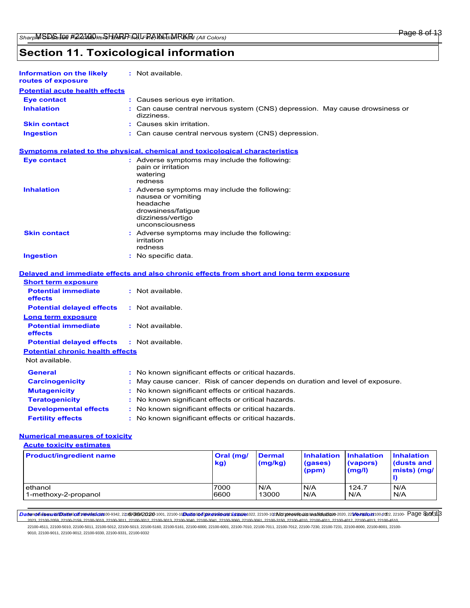# **Section 11. Toxicological information**

| Information on the likely<br>routes of exposure | : Not available.                                                                                                                              |
|-------------------------------------------------|-----------------------------------------------------------------------------------------------------------------------------------------------|
| <b>Potential acute health effects</b>           |                                                                                                                                               |
| <b>Eye contact</b>                              | : Causes serious eye irritation.                                                                                                              |
| <b>Inhalation</b>                               | : Can cause central nervous system (CNS) depression. May cause drowsiness or<br>dizziness.                                                    |
| <b>Skin contact</b>                             | $:$ Causes skin irritation.                                                                                                                   |
| <b>Ingestion</b>                                | : Can cause central nervous system (CNS) depression.                                                                                          |
|                                                 | <b>Symptoms related to the physical, chemical and toxicological characteristics</b>                                                           |
| <b>Eye contact</b>                              | : Adverse symptoms may include the following:<br>pain or irritation<br>watering<br>redness                                                    |
| <b>Inhalation</b>                               | : Adverse symptoms may include the following:<br>nausea or vomiting<br>headache<br>drowsiness/fatigue<br>dizziness/vertigo<br>unconsciousness |
| <b>Skin contact</b>                             | : Adverse symptoms may include the following:<br>irritation<br>redness                                                                        |
| <b>Ingestion</b>                                | : No specific data.                                                                                                                           |
|                                                 | Delayed and immediate effects and also chronic effects from short and long term exposure                                                      |
| <b>Short term exposure</b>                      |                                                                                                                                               |
| <b>Potential immediate</b><br>effects           | : Not available.                                                                                                                              |
| <b>Potential delayed effects</b>                | : Not available.                                                                                                                              |
| Long term exposure                              |                                                                                                                                               |
| <b>Potential immediate</b><br>effects           | : Not available.                                                                                                                              |
| <b>Potential delayed effects</b>                | : Not available.                                                                                                                              |
| <b>Potential chronic health effects</b>         |                                                                                                                                               |
| Not available.                                  |                                                                                                                                               |
| <b>General</b>                                  | : No known significant effects or critical hazards.                                                                                           |
| <b>Carcinogenicity</b>                          | May cause cancer. Risk of cancer depends on duration and level of exposure.<br>÷.                                                             |
| <b>Mutagenicity</b>                             | : No known significant effects or critical hazards.                                                                                           |
| <b>Teratogenicity</b>                           | : No known significant effects or critical hazards.                                                                                           |
| <b>Developmental effects</b>                    | : No known significant effects or critical hazards.                                                                                           |
|                                                 |                                                                                                                                               |

**Fertility effects :** No known significant effects or critical hazards.

### **Numerical measures of toxicity**

**Acute toxicity estimates**

| <b>Product/ingredient name</b> | Oral (mg/<br>kg) | <b>Dermal</b><br>(mg/kg) | <b>Inhalation</b><br>(gases)<br>(ppm) | <b>Inhalation</b><br>(vapors)<br>(mg/l) | <b>Inhalation</b><br><b>dusts and</b><br>mists) (mg/ |
|--------------------------------|------------------|--------------------------|---------------------------------------|-----------------------------------------|------------------------------------------------------|
| ethanol                        | 7000             | N/A                      | IN/A                                  | 124.7                                   | N/A                                                  |
| 1-methoxy-2-propanol           | 6600             | 13000                    | IN/A                                  | N/A                                     | N/A                                                  |

DaterokitissuerDeste0021000bsfc20100-9342,2216b6B0820200-1011,22100-10Dec20100f09re2vi001081i281001022,22100-102N21010040002300dlidection0-2020,22100e20202022,22100-Page 820f3[3] 2020-2159, 22100-3010, 22100-3011, 22100-3012, 22100-3013, 22100-3040, 22100-3041, 22100-3060, 22100-3061, 22100-3150, 22100-4010, 22100-4011, 22100-4012, 22100-4010, 22100-4011, 22100-4012, 22100-4013, 22100-4012, 22100-4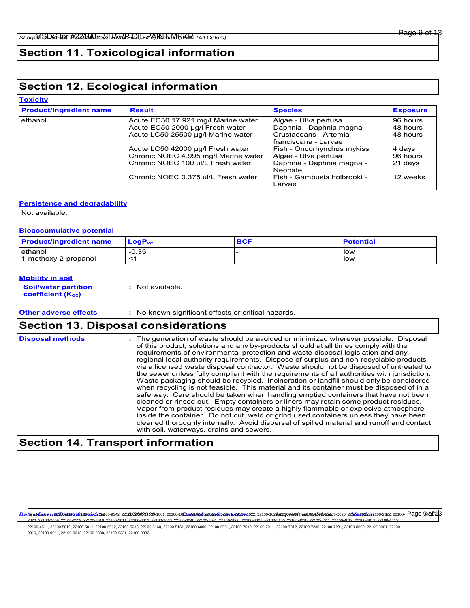# **Section 11. Toxicological information**

# **Section 12. Ecological information**

# **Toxicity**

| <b>Product/ingredient name</b> | <b>Result</b>                        | <b>Species</b>                                    | <b>Exposure</b> |
|--------------------------------|--------------------------------------|---------------------------------------------------|-----------------|
| ethanol                        | Acute EC50 17.921 mg/l Marine water  | Algae - Ulva pertusa                              | 96 hours        |
|                                | Acute EC50 2000 µg/l Fresh water     | Daphnia - Daphnia magna                           | 48 hours        |
|                                | Acute LC50 25500 µg/l Marine water   | l Crustaceans - Artemia<br>l franciscana - Larvae | 48 hours        |
|                                | Acute LC50 42000 µg/l Fresh water    | Fish - Oncorhynchus mykiss                        | 4 days          |
|                                | Chronic NOEC 4.995 mg/l Marine water | Algae - Ulva pertusa                              | 96 hours        |
|                                | IChronic NOEC 100 ul/L Fresh water   | Daphnia - Daphnia magna -<br>Neonate              | 21 days         |
|                                | Chronic NOEC 0.375 ul/L Fresh water  | l Fish - Gambusia holbrooki -<br>Larvae           | 12 weeks        |

### **Persistence and degradability**

Not available.

### **Bioaccumulative potential**

| <b>Product/ingredient name</b> | ∣ LoɑP <sub>∾</sub> | <b>BCF</b> | <b>Potential</b> |
|--------------------------------|---------------------|------------|------------------|
| ethanol                        | $-0.35$             |            | low              |
| 1-methoxy-2-propanol           |                     |            | low              |

### **Mobility in soil**

**Soil/water partition coefficient (KOC)**

**:** Not available.

**Other adverse effects :** No known significant effects or critical hazards.

# **Section 13. Disposal considerations**

| <b>Disposal methods</b> | : The generation of waste should be avoided or minimized wherever possible. Disposal<br>of this product, solutions and any by-products should at all times comply with the<br>requirements of environmental protection and waste disposal legislation and any<br>regional local authority requirements. Dispose of surplus and non-recyclable products<br>via a licensed waste disposal contractor. Waste should not be disposed of untreated to<br>the sewer unless fully compliant with the requirements of all authorities with jurisdiction.<br>Waste packaging should be recycled. Incineration or landfill should only be considered<br>when recycling is not feasible. This material and its container must be disposed of in a<br>safe way. Care should be taken when handling emptied containers that have not been<br>cleaned or rinsed out. Empty containers or liners may retain some product residues.<br>Vapor from product residues may create a highly flammable or explosive atmosphere<br>inside the container. Do not cut, weld or grind used containers unless they have been<br>cleaned thoroughly internally. Avoid dispersal of spilled material and runoff and contact<br>with soil, waterways, drains and sewers. |
|-------------------------|--------------------------------------------------------------------------------------------------------------------------------------------------------------------------------------------------------------------------------------------------------------------------------------------------------------------------------------------------------------------------------------------------------------------------------------------------------------------------------------------------------------------------------------------------------------------------------------------------------------------------------------------------------------------------------------------------------------------------------------------------------------------------------------------------------------------------------------------------------------------------------------------------------------------------------------------------------------------------------------------------------------------------------------------------------------------------------------------------------------------------------------------------------------------------------------------------------------------------------------------|
|-------------------------|--------------------------------------------------------------------------------------------------------------------------------------------------------------------------------------------------------------------------------------------------------------------------------------------------------------------------------------------------------------------------------------------------------------------------------------------------------------------------------------------------------------------------------------------------------------------------------------------------------------------------------------------------------------------------------------------------------------------------------------------------------------------------------------------------------------------------------------------------------------------------------------------------------------------------------------------------------------------------------------------------------------------------------------------------------------------------------------------------------------------------------------------------------------------------------------------------------------------------------------------|

# **Section 14. Transport information**

DaterolidssuerDateiod2revelsfon00-9342,2216/0092020-1011, 22100-10Dateioofgorevious: ussue1022, 22100-102No previous walidation-2020, 2210ersfon100-202, 22100- Page 900f3[3] .<br>2023, 22100-2011, 22100-2012, 22100-2013, 22100-2010, 22100-3014, 22100-3060, 22100-3061, 22100-3150, 22100-401<br>2023, 22100-2014, 22100-2022, 22100-2022, 22100-2023, 22100-2023, 22100-4012, 22100-4014, 22100-4510, 22100-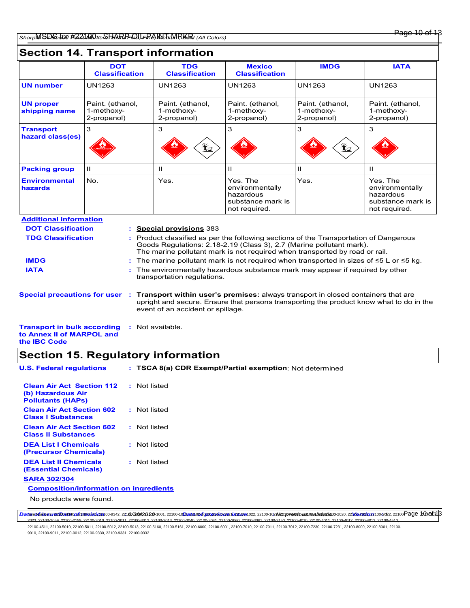# **Section 14. Transport information**

|                                       | <b>DOT</b><br><b>Classification</b>                                                                         |                                                                                                                                                                                                                                            | <b>TDG</b><br><b>Classification</b>                                                                                                                                                                                     | <b>Mexico</b><br><b>Classification</b>                                         | <b>IMDG</b>                                   | <b>IATA</b>                                                                    |  |  |
|---------------------------------------|-------------------------------------------------------------------------------------------------------------|--------------------------------------------------------------------------------------------------------------------------------------------------------------------------------------------------------------------------------------------|-------------------------------------------------------------------------------------------------------------------------------------------------------------------------------------------------------------------------|--------------------------------------------------------------------------------|-----------------------------------------------|--------------------------------------------------------------------------------|--|--|
| <b>UN number</b>                      | <b>UN1263</b>                                                                                               |                                                                                                                                                                                                                                            | <b>UN1263</b>                                                                                                                                                                                                           | <b>UN1263</b>                                                                  | <b>UN1263</b>                                 | <b>UN1263</b>                                                                  |  |  |
| <b>UN proper</b><br>shipping name     | Paint. (ethanol,<br>1-methoxy-<br>2-propanol)                                                               |                                                                                                                                                                                                                                            | Paint. (ethanol,<br>1-methoxy-<br>2-propanol)                                                                                                                                                                           | Paint. (ethanol,<br>1-methoxy-<br>2-propanol)                                  | Paint. (ethanol,<br>1-methoxy-<br>2-propanol) | Paint. (ethanol,<br>1-methoxy-<br>2-propanol)                                  |  |  |
| <b>Transport</b><br>hazard class(es)  | 3                                                                                                           |                                                                                                                                                                                                                                            | 3                                                                                                                                                                                                                       | 3                                                                              | 3                                             | 3                                                                              |  |  |
| <b>Packing group</b>                  | Ш                                                                                                           |                                                                                                                                                                                                                                            | Ш                                                                                                                                                                                                                       | $\mathbf{H}$                                                                   | Ш                                             | Ш                                                                              |  |  |
| <b>Environmental</b><br>hazards       | No.                                                                                                         |                                                                                                                                                                                                                                            | Yes.                                                                                                                                                                                                                    | Yes. The<br>environmentally<br>hazardous<br>substance mark is<br>not required. | Yes.                                          | Yes. The<br>environmentally<br>hazardous<br>substance mark is<br>not required. |  |  |
| <b>Additional information</b>         |                                                                                                             |                                                                                                                                                                                                                                            |                                                                                                                                                                                                                         |                                                                                |                                               |                                                                                |  |  |
| <b>DOT Classification</b>             |                                                                                                             |                                                                                                                                                                                                                                            | <b>Special provisions 383</b>                                                                                                                                                                                           |                                                                                |                                               |                                                                                |  |  |
| <b>TDG Classification</b>             |                                                                                                             | Product classified as per the following sections of the Transportation of Dangerous<br>Goods Regulations: 2.18-2.19 (Class 3), 2.7 (Marine pollutant mark).<br>The marine pollutant mark is not required when transported by road or rail. |                                                                                                                                                                                                                         |                                                                                |                                               |                                                                                |  |  |
| <b>IMDG</b>                           |                                                                                                             |                                                                                                                                                                                                                                            | The marine pollutant mark is not required when transported in sizes of $\leq 5$ L or $\leq 5$ kg.                                                                                                                       |                                                                                |                                               |                                                                                |  |  |
| <b>IATA</b>                           | The environmentally hazardous substance mark may appear if required by other<br>transportation regulations. |                                                                                                                                                                                                                                            |                                                                                                                                                                                                                         |                                                                                |                                               |                                                                                |  |  |
| <b>Special precautions for user :</b> |                                                                                                             |                                                                                                                                                                                                                                            | <b>Transport within user's premises:</b> always transport in closed containers that are<br>upright and secure. Ensure that persons transporting the product know what to do in the<br>event of an accident or spillage. |                                                                                |                                               |                                                                                |  |  |

| <b>Transport in bulk according : Not available.</b> |  |
|-----------------------------------------------------|--|
| to Annex II of MARPOL and                           |  |
| the <b>IBC</b> Code                                 |  |

# **Section 15. Regulatory information**

| <b>U.S. Federal regulations</b>                                                   | : TSCA 8(a) CDR Exempt/Partial exemption: Not determined |
|-----------------------------------------------------------------------------------|----------------------------------------------------------|
| <b>Clean Air Act Section 112</b><br>(b) Hazardous Air<br><b>Pollutants (HAPs)</b> | : Not listed                                             |
| <b>Clean Air Act Section 602</b><br><b>Class I Substances</b>                     | : Not listed                                             |
| <b>Clean Air Act Section 602</b><br><b>Class II Substances</b>                    | : Not listed                                             |
| <b>DEA List I Chemicals</b><br>(Precursor Chemicals)                              | : Not listed                                             |
| <b>DEA List II Chemicals</b><br><b>(Essential Chemicals)</b>                      | : Not listed                                             |
| <b>SARA 302/304</b>                                                               |                                                          |
| <b>Composition/information on ingredients</b>                                     |                                                          |
| No products were found.                                                           |                                                          |

*Date of issue/Date of revision* Item Numbers: 22100-9340, 22100-9341, 22100-9342, 22100-0059, 22100-1001, 22100-1019, 22100-1020, 22100-1021, 22100-1022, 22100-1023, 22100-1039, 22100-1059, 22100-2020, 22100-2021, 22100-2022, 22100- **:** *6/30/2020 Date of previous issue : No previous validation Version : 1 10/13* Page 10 of 132023, 22100-2059, 22100-2159, 22100-3010, 22100-3011, 22100-3012, 22100-3013, 22100-3040, 22100-3041, 22100-3060, 22100-3061, 22100-3150, 22100-4010, 22100-4011, 22100-4012, 22100-4013, 22100-4510,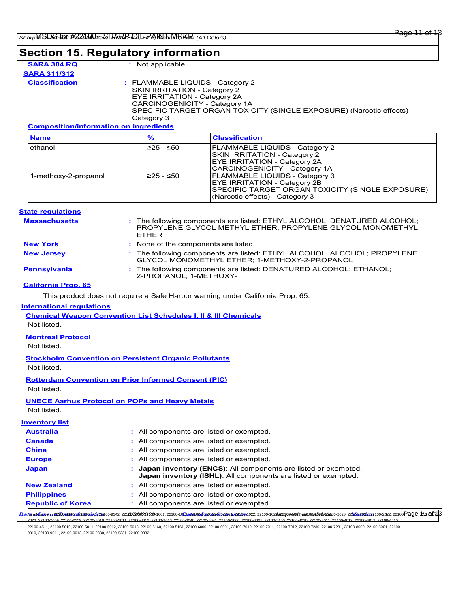### **Section 15. Regulatory information**

| SARA 304 RQ  |  |  |  |  |  |
|--------------|--|--|--|--|--|
| SARA 311/312 |  |  |  |  |  |
|              |  |  |  |  |  |

**:** Not applicable.

**Classification :** FLAMMABLE LIQUIDS - Category 2 SKIN IRRITATION - Category 2 EYE IRRITATION - Category 2A CARCINOGENICITY - Category 1A SPECIFIC TARGET ORGAN TOXICITY (SINGLE EXPOSURE) (Narcotic effects) - Category 3

### **Composition/information on ingredients**

| <b>Name</b>          | %           | <b>Classification</b>                                                                                                                                               |
|----------------------|-------------|---------------------------------------------------------------------------------------------------------------------------------------------------------------------|
| ethanol              | $≥25 - ≤50$ | <b>FLAMMABLE LIQUIDS - Category 2</b><br><b>SKIN IRRITATION - Category 2</b><br><b>EYE IRRITATION - Category 2A</b><br>CARCINOGENICITY - Category 1A                |
| 1-methoxy-2-propanol | $≥25 - ≤50$ | <b>FLAMMABLE LIQUIDS - Category 3</b><br><b>EYE IRRITATION - Category 2B</b><br>SPECIFIC TARGET ORGAN TOXICITY (SINGLE EXPOSURE)<br>(Narcotic effects) - Category 3 |

### **State regulations**

| <b>Massachusetts</b> | : The following components are listed: ETHYL ALCOHOL; DENATURED ALCOHOL;<br>PROPYLENE GLYCOL METHYL ETHER; PROPYLENE GLYCOL MONOMETHYL<br><b>FTHFR</b> |
|----------------------|--------------------------------------------------------------------------------------------------------------------------------------------------------|
| <b>New York</b>      | : None of the components are listed.                                                                                                                   |
| <b>New Jersey</b>    | : The following components are listed: ETHYL ALCOHOL; ALCOHOL; PROPYLENE<br>GLYCOL MONOMETHYL ETHER; 1-METHOXY-2-PROPANOL                              |
| <b>Pennsylvania</b>  | : The following components are listed: DENATURED ALCOHOL; ETHANOL;<br>2-PROPANOL, 1-METHOXY-                                                           |

### **California Prop. 65**

This product does not require a Safe Harbor warning under California Prop. 65.

### **International regulations**

**Chemical Weapon Convention List Schedules I, II & III Chemicals**

### Not listed.

### **Montreal Protocol**

Not listed.

# **Stockholm Convention on Persistent Organic Pollutants**

Not listed.

### **Rotterdam Convention on Prior Informed Consent (PIC)** Not listed.

### **UNECE Aarhus Protocol on POPs and Heavy Metals**

Not listed.

### **Inventory list**

| <b>Australia</b>         | : All components are listed or exempted.                                                                                                |
|--------------------------|-----------------------------------------------------------------------------------------------------------------------------------------|
| <b>Canada</b>            | : All components are listed or exempted.                                                                                                |
| <b>China</b>             | : All components are listed or exempted.                                                                                                |
| <b>Europe</b>            | : All components are listed or exempted.                                                                                                |
| Japan                    | Japan inventory (ENCS): All components are listed or exempted.<br><b>Japan inventory (ISHL):</b> All components are listed or exempted. |
| <b>New Zealand</b>       | : All components are listed or exempted.                                                                                                |
| <b>Philippines</b>       | : All components are listed or exempted.                                                                                                |
| <b>Republic of Korea</b> | : All components are listed or exempted.                                                                                                |

Daterrollutionsum Destaccion 1998/09/08/2020-1001, 2210-10 Destacof con aviones us suce 102, 22100-102Mz previous controlation -2020, 22100 P2021 02122, 22100 Page 111.01313

2023, 22100-2059, 22100-2159, 22100-3010, 22100-3011, 22100-3012, 22100-3013, 22100-3040, 22100-3041, 22100-3060, 22100-3061, 22100-3150, 22100-4010, 22100-4011, 22100-4012, 22100-4013, 22100-4510, 22100-4511, 22100-5010, 22100-5011, 22100-5012, 22100-5013, 22100-5160, 22100-5161, 22100-6000, 22100-6001, 22100-7010, 22100-7011, 22100-7012, 22100-7230, 22100-7231, 22100-8000, 22100-8001, 22100- 9010, 22100-9011, 22100-9012, 22100-9330, 22100-9331, 22100-9332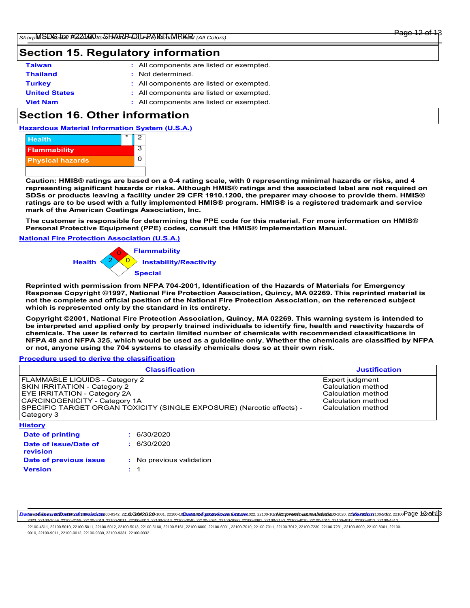# **Section 15. Regulatory information**

| <b>Taiwan</b>        | : All components are listed or exempted. |
|----------------------|------------------------------------------|
| <b>Thailand</b>      | : Not determined.                        |
| <b>Turkey</b>        | : All components are listed or exempted. |
| <b>United States</b> | : All components are listed or exempted. |
| <b>Viet Nam</b>      | : All components are listed or exempted. |

# **Section 16. Other information**

**Hazardous Material Information System (U.S.A.)**



**Caution: HMIS® ratings are based on a 0-4 rating scale, with 0 representing minimal hazards or risks, and 4 representing significant hazards or risks. Although HMIS® ratings and the associated label are not required on SDSs or products leaving a facility under 29 CFR 1910.1200, the preparer may choose to provide them. HMIS® ratings are to be used with a fully implemented HMIS® program. HMIS® is a registered trademark and service mark of the American Coatings Association, Inc.**

**The customer is responsible for determining the PPE code for this material. For more information on HMIS® Personal Protective Equipment (PPE) codes, consult the HMIS® Implementation Manual.**

**National Fire Protection Association (U.S.A.)**



**Reprinted with permission from NFPA 704-2001, Identification of the Hazards of Materials for Emergency Response Copyright ©1997, National Fire Protection Association, Quincy, MA 02269. This reprinted material is not the complete and official position of the National Fire Protection Association, on the referenced subject which is represented only by the standard in its entirety.**

**Copyright ©2001, National Fire Protection Association, Quincy, MA 02269. This warning system is intended to be interpreted and applied only by properly trained individuals to identify fire, health and reactivity hazards of chemicals. The user is referred to certain limited number of chemicals with recommended classifications in NFPA 49 and NFPA 325, which would be used as a guideline only. Whether the chemicals are classified by NFPA or not, anyone using the 704 systems to classify chemicals does so at their own risk.**

#### **Procedure used to derive the classification**

|                                                                                                                                                                                                                                      | <b>Justification</b>                                                                                                                  |  |
|--------------------------------------------------------------------------------------------------------------------------------------------------------------------------------------------------------------------------------------|---------------------------------------------------------------------------------------------------------------------------------------|--|
| FLAMMABLE LIQUIDS - Category 2<br><b>SKIN IRRITATION - Category 2</b><br>EYE IRRITATION - Category 2A<br>CARCINOGENICITY - Category 1A<br>SPECIFIC TARGET ORGAN TOXICITY (SINGLE EXPOSURE) (Narcotic effects) -<br>Category 3        | <b>Expert judgment</b><br><b>Calculation method</b><br><b>Calculation method</b><br>l Calculation method<br><b>Calculation method</b> |  |
| <b>History</b>                                                                                                                                                                                                                       |                                                                                                                                       |  |
| Date of printing                                                                                                                                                                                                                     | : 6/30/2020                                                                                                                           |  |
| <b>Contact of the contact of the contact of the contact of the contact of the contact of the contact of the contact of the contact of the contact of the contact of the contact of the contact of the contact of the contact of </b> |                                                                                                                                       |  |

| Date of issue/Date of<br>revision |  |
|-----------------------------------|--|
| Date of previous issue            |  |
| <b>Version</b>                    |  |

**: :** 6/30/2020 **:** No previous validation 1

DaterolidssuerDateiod2revelsfon00-9342,221604302020-1001, 22100-10Dateioofgerevicousussue1022, 22100-102No2 previous walidation-2020, 22Morsoron2020, 22100Page 1f20f313 2023, 22100-2059, 22100-2159, 22100-3010, 22100-3011, 22100-3012, 22100-3013, 22100-3040, 22100-3041, 22100-3060, 22100-3061, 22100-3150, 22100-4010, 22100-4011, 22100-4012, 22100-4013, 22100-4510,